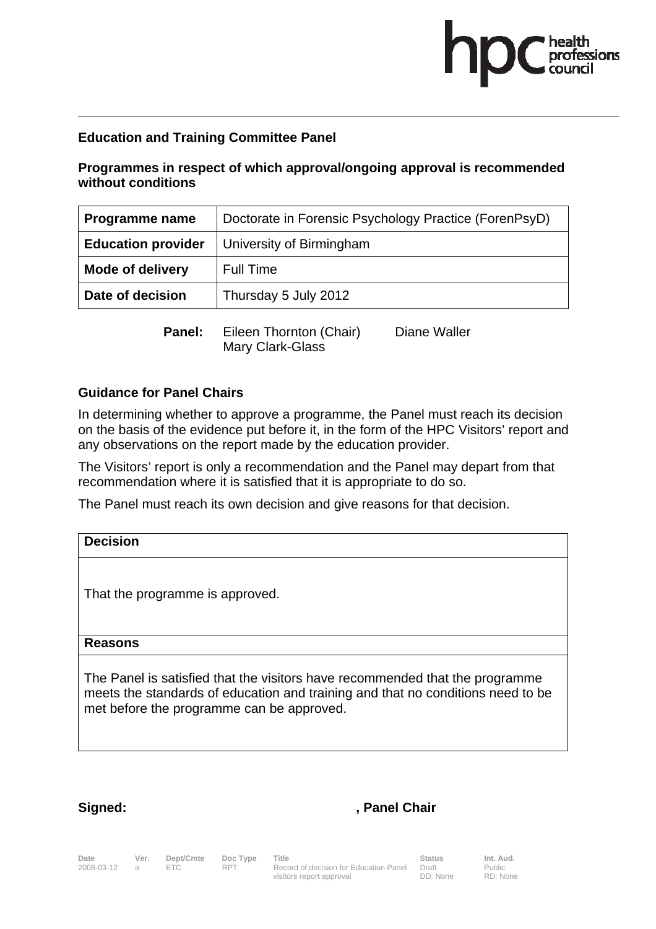# health<br>professions

## **Education and Training Committee Panel**

**Programmes in respect of which approval/ongoing approval is recommended without conditions** 

| Programme name            | Doctorate in Forensic Psychology Practice (ForenPsyD) |
|---------------------------|-------------------------------------------------------|
| <b>Education provider</b> | University of Birmingham                              |
| <b>Mode of delivery</b>   | <b>Full Time</b>                                      |
| Date of decision          | Thursday 5 July 2012                                  |
| Panel:                    | Eileen Thornton (Chair)<br>Diane Waller               |

**Guidance for Panel Chairs** 

In determining whether to approve a programme, the Panel must reach its decision on the basis of the evidence put before it, in the form of the HPC Visitors' report and any observations on the report made by the education provider.

The Visitors' report is only a recommendation and the Panel may depart from that recommendation where it is satisfied that it is appropriate to do so.

The Panel must reach its own decision and give reasons for that decision.

Mary Clark-Glass

| <b>Decision</b>                                                                                                                                                                                              |
|--------------------------------------------------------------------------------------------------------------------------------------------------------------------------------------------------------------|
| That the programme is approved.                                                                                                                                                                              |
| <b>Reasons</b>                                                                                                                                                                                               |
| The Panel is satisfied that the visitors have recommended that the programme<br>meets the standards of education and training and that no conditions need to be<br>met before the programme can be approved. |

### Signed: **Signed:** , Panel Chair

Date Ver. Dept/Cmte Doc<sup>Type</sup> Title **Status Status Int. Aud.** Date Ver. Dept/Cmte Doc Type Title<br>2008-03-12 a ETC RPT Record of decision for Education Panel visitors report approval

Draft DD: None Public RD: None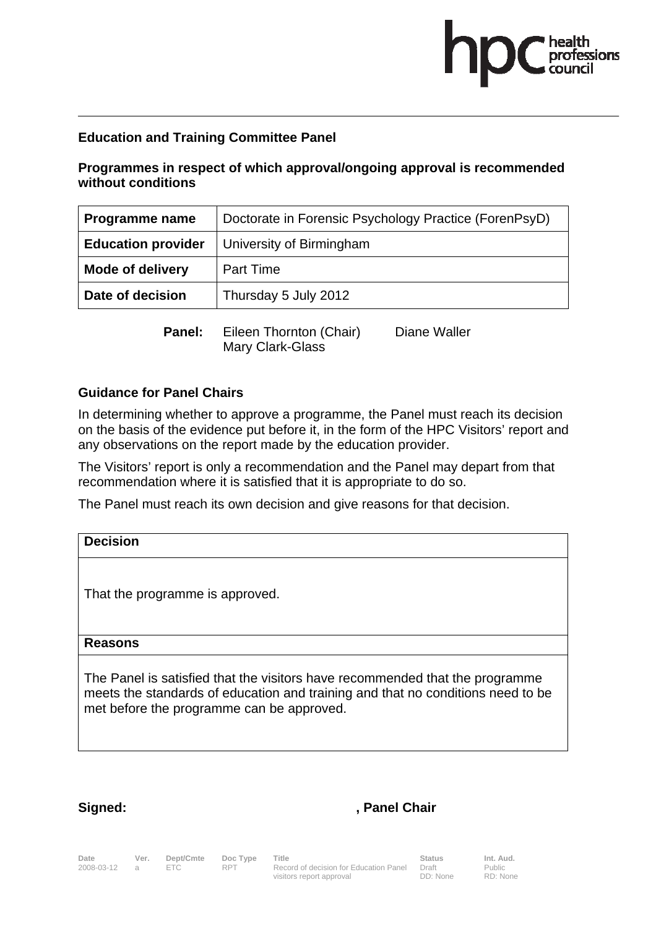# health<br>professions

## **Education and Training Committee Panel**

**Programmes in respect of which approval/ongoing approval is recommended without conditions** 

| Programme name            | Doctorate in Forensic Psychology Practice (ForenPsyD) |
|---------------------------|-------------------------------------------------------|
| <b>Education provider</b> | University of Birmingham                              |
| <b>Mode of delivery</b>   | <b>Part Time</b>                                      |
| Date of decision          | Thursday 5 July 2012                                  |
| Panel:                    | Eileen Thornton (Chair)<br>Diane Waller               |

**Guidance for Panel Chairs** 

In determining whether to approve a programme, the Panel must reach its decision on the basis of the evidence put before it, in the form of the HPC Visitors' report and any observations on the report made by the education provider.

The Visitors' report is only a recommendation and the Panel may depart from that recommendation where it is satisfied that it is appropriate to do so.

The Panel must reach its own decision and give reasons for that decision.

Mary Clark-Glass

| <b>Decision</b>                                                                                                                                                                                              |
|--------------------------------------------------------------------------------------------------------------------------------------------------------------------------------------------------------------|
| That the programme is approved.                                                                                                                                                                              |
| <b>Reasons</b>                                                                                                                                                                                               |
| The Panel is satisfied that the visitors have recommended that the programme<br>meets the standards of education and training and that no conditions need to be<br>met before the programme can be approved. |

### Signed: **Signed:** , Panel Chair

Date Ver. Dept/Cmte Doc<sup>Type</sup> Title **Status Status Int. Aud.** Date Ver. Dept/Cmte Doc Type Title<br>2008-03-12 a ETC RPT Record of decision for Education Panel visitors report approval

Public RD: None